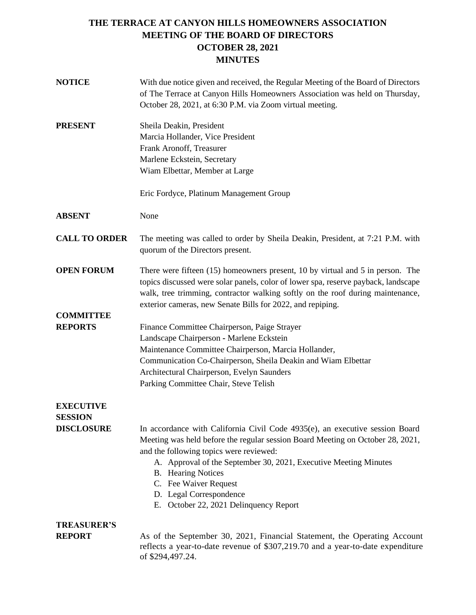| <b>NOTICE</b>                       | With due notice given and received, the Regular Meeting of the Board of Directors<br>of The Terrace at Canyon Hills Homeowners Association was held on Thursday,<br>October 28, 2021, at 6:30 P.M. via Zoom virtual meeting.                                                                                                                                                                                |  |  |  |
|-------------------------------------|-------------------------------------------------------------------------------------------------------------------------------------------------------------------------------------------------------------------------------------------------------------------------------------------------------------------------------------------------------------------------------------------------------------|--|--|--|
| <b>PRESENT</b>                      | Sheila Deakin, President<br>Marcia Hollander, Vice President<br>Frank Aronoff, Treasurer<br>Marlene Eckstein, Secretary<br>Wiam Elbettar, Member at Large                                                                                                                                                                                                                                                   |  |  |  |
|                                     | Eric Fordyce, Platinum Management Group                                                                                                                                                                                                                                                                                                                                                                     |  |  |  |
| <b>ABSENT</b>                       | None                                                                                                                                                                                                                                                                                                                                                                                                        |  |  |  |
| <b>CALL TO ORDER</b>                | The meeting was called to order by Sheila Deakin, President, at 7:21 P.M. with<br>quorum of the Directors present.                                                                                                                                                                                                                                                                                          |  |  |  |
| <b>OPEN FORUM</b>                   | There were fifteen $(15)$ homeowners present, 10 by virtual and 5 in person. The<br>topics discussed were solar panels, color of lower spa, reserve payback, landscape<br>walk, tree trimming, contractor walking softly on the roof during maintenance,<br>exterior cameras, new Senate Bills for 2022, and repiping.                                                                                      |  |  |  |
| <b>COMMITTEE</b><br><b>REPORTS</b>  | Finance Committee Chairperson, Paige Strayer<br>Landscape Chairperson - Marlene Eckstein<br>Maintenance Committee Chairperson, Marcia Hollander,<br>Communication Co-Chairperson, Sheila Deakin and Wiam Elbettar<br>Architectural Chairperson, Evelyn Saunders<br>Parking Committee Chair, Steve Telish                                                                                                    |  |  |  |
| <b>EXECUTIVE</b>                    |                                                                                                                                                                                                                                                                                                                                                                                                             |  |  |  |
| <b>SESSION</b><br><b>DISCLOSURE</b> | In accordance with California Civil Code $4935(e)$ , an executive session Board<br>Meeting was held before the regular session Board Meeting on October 28, 2021,<br>and the following topics were reviewed:<br>A. Approval of the September 30, 2021, Executive Meeting Minutes<br><b>B.</b> Hearing Notices<br>C. Fee Waiver Request<br>D. Legal Correspondence<br>E. October 22, 2021 Delinquency Report |  |  |  |
| <b>TREASURER'S</b>                  |                                                                                                                                                                                                                                                                                                                                                                                                             |  |  |  |
| <b>REPORT</b>                       | As of the September 30, 2021, Financial Statement, the Operating Account<br>reflects a year-to-date revenue of \$307,219.70 and a year-to-date expenditure<br>of \$294,497.24.                                                                                                                                                                                                                              |  |  |  |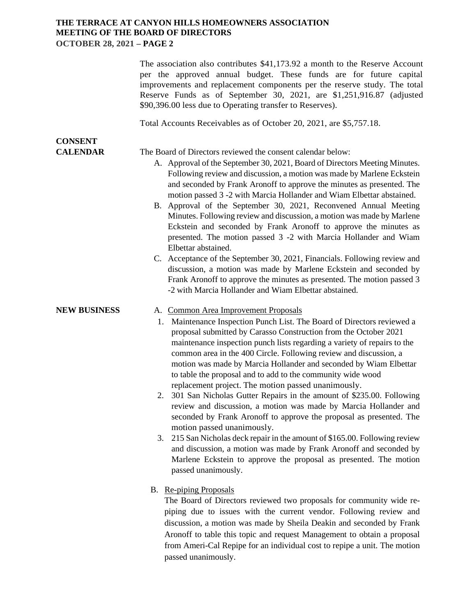|                                   | The association also contributes \$41,173.92 a month to the Reserve Account<br>per the approved annual budget. These funds are for future capital<br>improvements and replacement components per the reserve study. The total<br>Reserve Funds as of September 30, 2021, are \$1,251,916.87 (adjusted<br>\$90,396.00 less due to Operating transfer to Reserves).                                                                                                                                                                                                                                                                                                                                                                                                                                                                                                                                                                                                                                                                    |  |  |  |
|-----------------------------------|--------------------------------------------------------------------------------------------------------------------------------------------------------------------------------------------------------------------------------------------------------------------------------------------------------------------------------------------------------------------------------------------------------------------------------------------------------------------------------------------------------------------------------------------------------------------------------------------------------------------------------------------------------------------------------------------------------------------------------------------------------------------------------------------------------------------------------------------------------------------------------------------------------------------------------------------------------------------------------------------------------------------------------------|--|--|--|
|                                   | Total Accounts Receivables as of October 20, 2021, are \$5,757.18.                                                                                                                                                                                                                                                                                                                                                                                                                                                                                                                                                                                                                                                                                                                                                                                                                                                                                                                                                                   |  |  |  |
| <b>CONSENT</b><br><b>CALENDAR</b> | The Board of Directors reviewed the consent calendar below:<br>A. Approval of the September 30, 2021, Board of Directors Meeting Minutes.<br>Following review and discussion, a motion was made by Marlene Eckstein<br>and seconded by Frank Aronoff to approve the minutes as presented. The<br>motion passed 3 -2 with Marcia Hollander and Wiam Elbettar abstained.<br>B. Approval of the September 30, 2021, Reconvened Annual Meeting<br>Minutes. Following review and discussion, a motion was made by Marlene<br>Eckstein and seconded by Frank Aronoff to approve the minutes as<br>presented. The motion passed 3 -2 with Marcia Hollander and Wiam<br>Elbettar abstained.<br>C. Acceptance of the September 30, 2021, Financials. Following review and<br>discussion, a motion was made by Marlene Eckstein and seconded by<br>Frank Aronoff to approve the minutes as presented. The motion passed 3<br>-2 with Marcia Hollander and Wiam Elbettar abstained.                                                             |  |  |  |
| <b>NEW BUSINESS</b>               | A. Common Area Improvement Proposals<br>1. Maintenance Inspection Punch List. The Board of Directors reviewed a<br>proposal submitted by Carasso Construction from the October 2021<br>maintenance inspection punch lists regarding a variety of repairs to the<br>common area in the 400 Circle. Following review and discussion, a<br>motion was made by Marcia Hollander and seconded by Wiam Elbettar<br>to table the proposal and to add to the community wide wood<br>replacement project. The motion passed unanimously.<br>2. 301 San Nicholas Gutter Repairs in the amount of \$235.00. Following<br>review and discussion, a motion was made by Marcia Hollander and<br>seconded by Frank Aronoff to approve the proposal as presented. The<br>motion passed unanimously.<br>3. 215 San Nicholas deck repair in the amount of \$165.00. Following review<br>and discussion, a motion was made by Frank Aronoff and seconded by<br>Marlene Eckstein to approve the proposal as presented. The motion<br>passed unanimously. |  |  |  |
|                                   | B. Re-piping Proposals<br>The Board of Directors reviewed two proposals for community wide re-<br>pining due to ignore with the current vender. Following review and                                                                                                                                                                                                                                                                                                                                                                                                                                                                                                                                                                                                                                                                                                                                                                                                                                                                 |  |  |  |

piping due to issues with the current vendor. Following review and discussion, a motion was made by Sheila Deakin and seconded by Frank Aronoff to table this topic and request Management to obtain a proposal from Ameri-Cal Repipe for an individual cost to repipe a unit. The motion passed unanimously.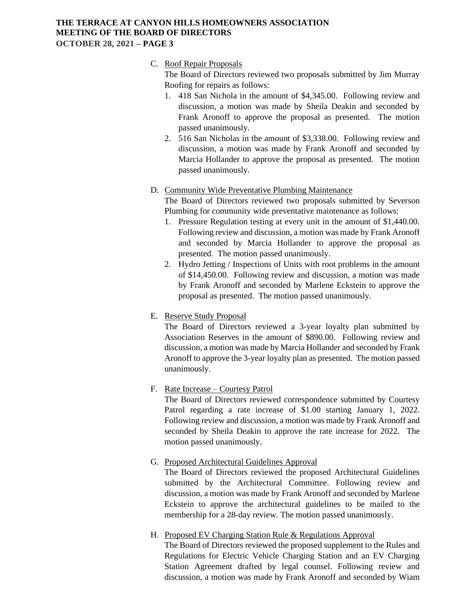#### C. Roof Repair Proposals

The Board of Directors reviewed two proposals submitted by Jim Murray Roofing for repairs as follows:

- 1. 418 San Nichola in the amount of \$4,345.00. Following review and discussion, a motion was made by Sheila Deakin and seconded by Frank Aronoff to approve the proposal as presented. The motion passed unanimously.
- 2. 516 San Nicholas in the amount of \$3,338.00. Following review and discussion, a motion was made by Frank Aronoff and seconded by Marcia Hollander to approve the proposal as presented. The motion passed unanimously.

#### D. Community Wide Preventative Plumbing Maintenance

The Board of Directors reviewed two proposals submitted by Severson Plumbing for community wide preventative maintenance as follows:

- 1. Pressure Regulation testing at every unit in the amount of \$1,440.00. Following review and discussion, a motion was made by Frank Aronoff and seconded by Marcia Hollander to approve the proposal as presented. The motion passed unanimously.
- 2. Hydro Jetting / Inspections of Units with root problems in the amount of \$14,450.00. Following review and discussion, a motion was made by Frank Aronoff and seconded by Marlene Eckstein to approve the proposal as presented. The motion passed unanimously.
- E. Reserve Study Proposal

The Board of Directors reviewed a 3-year loyalty plan submitted by Association Reserves in the amount of \$890.00. Following review and discussion, a motion was made by Marcia Hollander and seconded by Frank Aronoff to approve the 3-year loyalty plan as presented. The motion passed unanimously.

#### F. Rate Increase – Courtesy Patrol

The Board of Directors reviewed correspondence submitted by Courtesy Patrol regarding a rate increase of \$1.00 starting January 1, 2022. Following review and discussion, a motion was made by Frank Aronoff and seconded by Sheila Deakin to approve the rate increase for 2022. The motion passed unanimously.

#### G. Proposed Architectural Guidelines Approval

The Board of Directors reviewed the proposed Architectural Guidelines submitted by the Architectural Committee. Following review and discussion, a motion was made by Frank Aronoff and seconded by Marlene Eckstein to approve the architectural guidelines to be mailed to the membership for a 28-day review. The motion passed unanimously.

#### H. Proposed EV Charging Station Rule & Regulations Approval

The Board of Directors reviewed the proposed supplement to the Rules and Regulations for Electric Vehicle Charging Station and an EV Charging Station Agreement drafted by legal counsel. Following review and discussion, a motion was made by Frank Aronoff and seconded by Wiam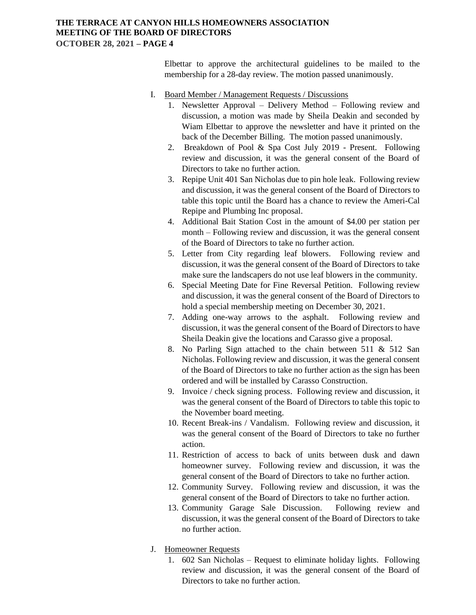Elbettar to approve the architectural guidelines to be mailed to the membership for a 28-day review. The motion passed unanimously.

- I. Board Member / Management Requests / Discussions
	- 1. Newsletter Approval Delivery Method Following review and discussion, a motion was made by Sheila Deakin and seconded by Wiam Elbettar to approve the newsletter and have it printed on the back of the December Billing. The motion passed unanimously.
	- 2. Breakdown of Pool & Spa Cost July 2019 Present. Following review and discussion, it was the general consent of the Board of Directors to take no further action.
	- 3. Repipe Unit 401 San Nicholas due to pin hole leak. Following review and discussion, it was the general consent of the Board of Directors to table this topic until the Board has a chance to review the Ameri-Cal Repipe and Plumbing Inc proposal.
	- 4. Additional Bait Station Cost in the amount of \$4.00 per station per month – Following review and discussion, it was the general consent of the Board of Directors to take no further action.
	- 5. Letter from City regarding leaf blowers. Following review and discussion, it was the general consent of the Board of Directors to take make sure the landscapers do not use leaf blowers in the community.
	- 6. Special Meeting Date for Fine Reversal Petition. Following review and discussion, it was the general consent of the Board of Directors to hold a special membership meeting on December 30, 2021.
	- 7. Adding one-way arrows to the asphalt. Following review and discussion, it was the general consent of the Board of Directors to have Sheila Deakin give the locations and Carasso give a proposal.
	- 8. No Parling Sign attached to the chain between 511 & 512 San Nicholas. Following review and discussion, it was the general consent of the Board of Directors to take no further action as the sign has been ordered and will be installed by Carasso Construction.
	- 9. Invoice / check signing process. Following review and discussion, it was the general consent of the Board of Directors to table this topic to the November board meeting.
	- 10. Recent Break-ins / Vandalism. Following review and discussion, it was the general consent of the Board of Directors to take no further action.
	- 11. Restriction of access to back of units between dusk and dawn homeowner survey. Following review and discussion, it was the general consent of the Board of Directors to take no further action.
	- 12. Community Survey. Following review and discussion, it was the general consent of the Board of Directors to take no further action.
	- 13. Community Garage Sale Discussion. Following review and discussion, it was the general consent of the Board of Directors to take no further action.
- J. Homeowner Requests
	- 1. 602 San Nicholas Request to eliminate holiday lights. Following review and discussion, it was the general consent of the Board of Directors to take no further action.